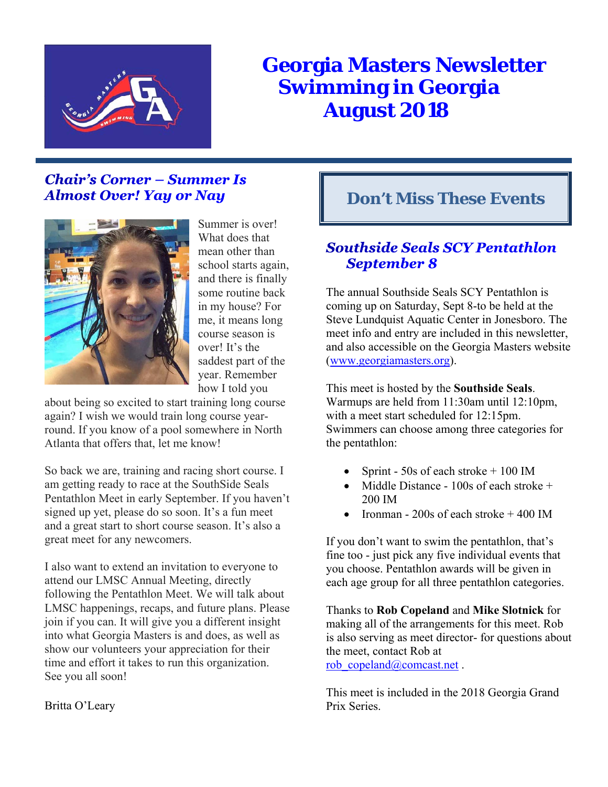

# **Georgia Masters Newsletter Swimming in Georgia August 2018**

# **Chair's Corner – Summer Is Almost Over! Yay or Nay**



Summer is over! What does that mean other than school starts again, and there is finally some routine back in my house? For me, it means long course season is over! It's the saddest part of the year. Remember how I told you

about being so excited to start training long course again? I wish we would train long course yearround. If you know of a pool somewhere in North Atlanta that offers that, let me know!

So back we are, training and racing short course. I am getting ready to race at the SouthSide Seals Pentathlon Meet in early September. If you haven't signed up yet, please do so soon. It's a fun meet and a great start to short course season. It's also a great meet for any newcomers.

I also want to extend an invitation to everyone to attend our LMSC Annual Meeting, directly following the Pentathlon Meet. We will talk about LMSC happenings, recaps, and future plans. Please join if you can. It will give you a different insight into what Georgia Masters is and does, as well as show our volunteers your appreciation for their time and effort it takes to run this organization. See you all soon!

### Britta O'Leary

# **Don't Miss These Events**

# **Southside Seals SCY Pentathlon September 8**

The annual Southside Seals SCY Pentathlon is coming up on Saturday, Sept 8-to be held at the Steve Lundquist Aquatic Center in Jonesboro. The meet info and entry are included in this newsletter, and also accessible on the Georgia Masters website (www.georgiamasters.org).

This meet is hosted by the **Southside Seals**. Warmups are held from 11:30am until 12:10pm, with a meet start scheduled for 12:15pm. Swimmers can choose among three categories for the pentathlon:

- Sprint 50s of each stroke  $+100$  IM
- Middle Distance 100s of each stroke + 200 IM
- Ironman 200s of each stroke + 400 IM

If you don't want to swim the pentathlon, that's fine too - just pick any five individual events that you choose. Pentathlon awards will be given in each age group for all three pentathlon categories.

Thanks to **Rob Copeland** and **Mike Slotnick** for making all of the arrangements for this meet. Rob is also serving as meet director- for questions about the meet, contact Rob at rob\_copeland@comcast.net .

This meet is included in the 2018 Georgia Grand Prix Series.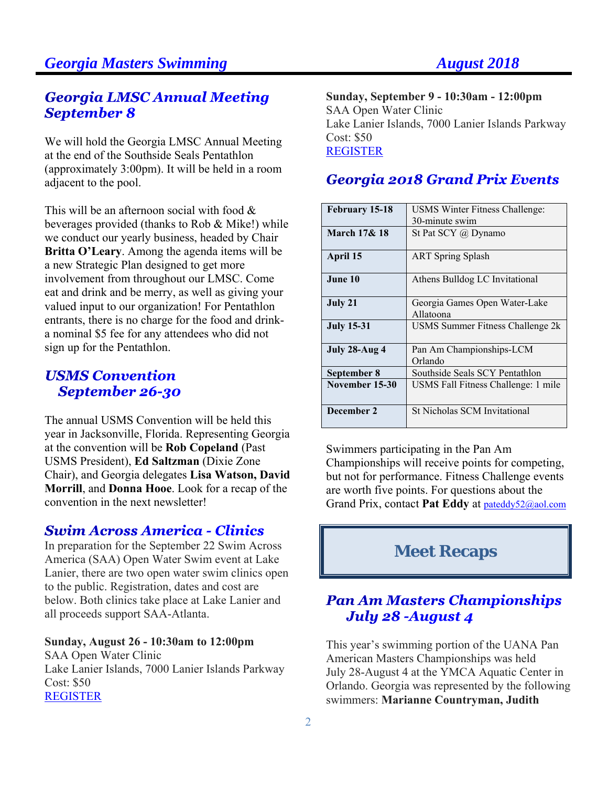## **Georgia LMSC Annual Meeting September 8**

We will hold the Georgia LMSC Annual Meeting at the end of the Southside Seals Pentathlon (approximately 3:00pm). It will be held in a room adjacent to the pool.

This will be an afternoon social with food  $\&$ beverages provided (thanks to Rob & Mike!) while we conduct our yearly business, headed by Chair **Britta O'Leary**. Among the agenda items will be a new Strategic Plan designed to get more involvement from throughout our LMSC. Come eat and drink and be merry, as well as giving your valued input to our organization! For Pentathlon entrants, there is no charge for the food and drinka nominal \$5 fee for any attendees who did not sign up for the Pentathlon.

# **USMS Convention September 26-30**

The annual USMS Convention will be held this year in Jacksonville, Florida. Representing Georgia at the convention will be **Rob Copeland** (Past USMS President), **Ed Saltzman** (Dixie Zone Chair), and Georgia delegates **Lisa Watson, David Morrill**, and **Donna Hooe**. Look for a recap of the convention in the next newsletter!

## **Swim Across America - Clinics**

In preparation for the September 22 Swim Across America (SAA) Open Water Swim event at Lake Lanier, there are two open water swim clinics open to the public. Registration, dates and cost are below. Both clinics take place at Lake Lanier and all proceeds support SAA-Atlanta.

### **Sunday, August 26 - 10:30am to 12:00pm**

SAA Open Water Clinic Lake Lanier Islands, 7000 Lanier Islands Parkway Cost: \$50 REGISTER

**Sunday, September 9 - 10:30am - 12:00pm**  SAA Open Water Clinic Lake Lanier Islands, 7000 Lanier Islands Parkway Cost: \$50 REGISTER

### Georgia 2018 Grand Prix Events

| February 15-18          | USMS Winter Fitness Challenge:             |
|-------------------------|--------------------------------------------|
|                         | 30-minute swim                             |
| <b>March 17&amp; 18</b> | St Pat SCY $\omega$ Dynamo                 |
| April 15                | <b>ART</b> Spring Splash                   |
| June 10                 | Athens Bulldog LC Invitational             |
| July 21                 | Georgia Games Open Water-Lake<br>Allatoona |
| <b>July 15-31</b>       | USMS Summer Fitness Challenge 2k           |
| July 28-Aug 4           | Pan Am Championships-LCM                   |
|                         | Orlando                                    |
| September 8             | Southside Seals SCY Pentathlon             |
| November 15-30          | USMS Fall Fitness Challenge: 1 mile        |
| December 2              | St Nicholas SCM Invitational               |

Swimmers participating in the Pan Am Championships will receive points for competing, but not for performance. Fitness Challenge events are worth five points. For questions about the Grand Prix, contact **Pat Eddy** at pateddy52@aol.com

# **Meet Recaps**

# **Pan Am Masters Championships** July 28 - August 4

This year's swimming portion of the UANA Pan American Masters Championships was held July 28-August 4 at the YMCA Aquatic Center in Orlando. Georgia was represented by the following swimmers: **Marianne Countryman, Judith**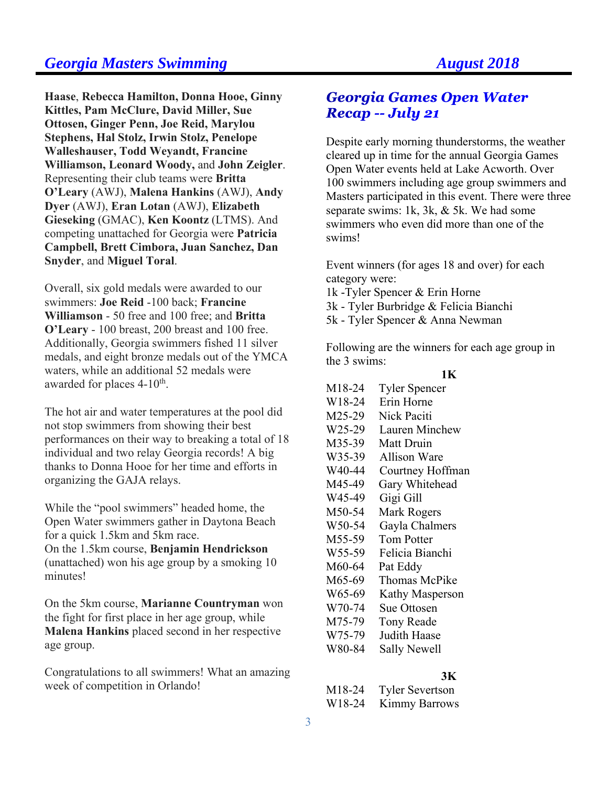**Haase**, **Rebecca Hamilton, Donna Hooe, Ginny Kittles, Pam McClure, David Miller, Sue Ottosen, Ginger Penn, Joe Reid, Marylou Stephens, Hal Stolz, Irwin Stolz, Penelope Walleshauser, Todd Weyandt, Francine Williamson, Leonard Woody,** and **John Zeigler**. Representing their club teams were **Britta O'Leary** (AWJ), **Malena Hankins** (AWJ), **Andy Dyer** (AWJ), **Eran Lotan** (AWJ), **Elizabeth Gieseking** (GMAC), **Ken Koontz** (LTMS). And competing unattached for Georgia were **Patricia Campbell, Brett Cimbora, Juan Sanchez, Dan Snyder**, and **Miguel Toral**.

Overall, six gold medals were awarded to our swimmers: **Joe Reid** -100 back; **Francine Williamson** - 50 free and 100 free; and **Britta O'Leary** - 100 breast, 200 breast and 100 free. Additionally, Georgia swimmers fished 11 silver medals, and eight bronze medals out of the YMCA waters, while an additional 52 medals were awarded for places 4-10<sup>th</sup>.

The hot air and water temperatures at the pool did not stop swimmers from showing their best performances on their way to breaking a total of 18 individual and two relay Georgia records! A big thanks to Donna Hooe for her time and efforts in organizing the GAJA relays.

While the "pool swimmers" headed home, the Open Water swimmers gather in Daytona Beach for a quick 1.5km and 5km race.

On the 1.5km course, **Benjamin Hendrickson** (unattached) won his age group by a smoking 10 minutes!

On the 5km course, **Marianne Countryman** won the fight for first place in her age group, while **Malena Hankins** placed second in her respective age group.

Congratulations to all swimmers! What an amazing week of competition in Orlando!

## **Georgia Games Open Water Recap -- July 21**

Despite early morning thunderstorms, the weather cleared up in time for the annual Georgia Games Open Water events held at Lake Acworth. Over 100 swimmers including age group swimmers and Masters participated in this event. There were three separate swims: 1k, 3k, & 5k. We had some swimmers who even did more than one of the swims!

Event winners (for ages 18 and over) for each category were:

- 1k -Tyler Spencer & Erin Horne
- 3k Tyler Burbridge & Felicia Bianchi
- 5k Tyler Spencer & Anna Newman

Following are the winners for each age group in the 3 swims:

### **1K**

| M18-24              | <b>Tyler Spencer</b> |
|---------------------|----------------------|
| W <sub>18-24</sub>  | Erin Horne           |
| M25-29              | Nick Paciti          |
| W <sub>25</sub> -29 | Lauren Minchew       |
| M35-39              | Matt Druin           |
| W35-39              | <b>Allison Ware</b>  |
| W40-44              | Courtney Hoffman     |
| M45-49              | Gary Whitehead       |
| W45-49              | Gigi Gill            |
| M50-54              | Mark Rogers          |
| W50-54              | Gayla Chalmers       |
| M <sub>55</sub> -59 | <b>Tom Potter</b>    |
| W55-59              | Felicia Bianchi      |
| M60-64              | Pat Eddy             |
| M65-69              | Thomas McPike        |
| W65-69              | Kathy Masperson      |
| W70-74              | Sue Ottosen          |
| M75-79              | <b>Tony Reade</b>    |
| W75-79              | Judith Haase         |
| W80-84              | Sally Newell         |

### **3K**

| M <sub>18</sub> -24 | <b>Tyler Severtson</b> |
|---------------------|------------------------|
| W18-24              | <b>Kimmy Barrows</b>   |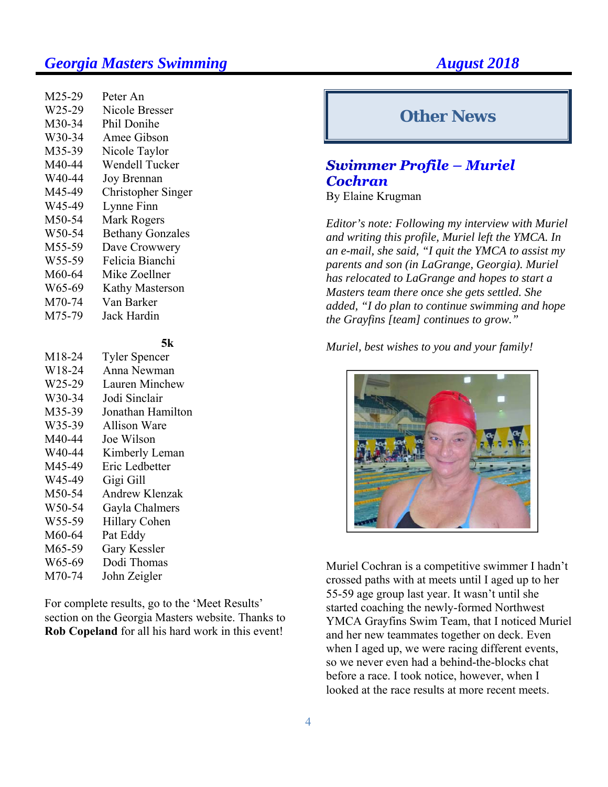| M25-29 | Peter An                |
|--------|-------------------------|
| W25-29 | Nicole Bresser          |
| M30-34 | Phil Donihe             |
| W30-34 | Amee Gibson             |
| M35-39 | Nicole Taylor           |
| M40-44 | Wendell Tucker          |
| W40-44 | Joy Brennan             |
| M45-49 | Christopher Singer      |
| W45-49 | Lynne Finn              |
| M50-54 | Mark Rogers             |
| W50-54 | <b>Bethany Gonzales</b> |
| M55-59 | Dave Crowwery           |
| W55-59 | Felicia Bianchi         |
| M60-64 | Mike Zoellner           |
| W65-69 | <b>Kathy Masterson</b>  |
| M70-74 | Van Barker              |
| M75-79 | Jack Hardin             |

### **5k**

M18-24 Tyler Spencer W18-24 Anna Newman W25-29 Lauren Minchew W30-34 Jodi Sinclair M35-39 Jonathan Hamilton W35-39 Allison Ware M40-44 Joe Wilson W40-44 Kimberly Leman M45-49 Eric Ledbetter W45-49 Gigi Gill M50-54 Andrew Klenzak W50-54 Gayla Chalmers W55-59 Hillary Cohen M60-64 Pat Eddy M65-59 Gary Kessler W65-69 Dodi Thomas M70-74 John Zeigler

For complete results, go to the 'Meet Results' section on the Georgia Masters website. Thanks to **Rob Copeland** for all his hard work in this event!

# **Other News**

# **Swimmer Profile - Muriel Cochran**

By Elaine Krugman

*Editor's note: Following my interview with Muriel and writing this profile, Muriel left the YMCA. In an e-mail, she said, "I quit the YMCA to assist my parents and son (in LaGrange, Georgia). Muriel has relocated to LaGrange and hopes to start a Masters team there once she gets settled. She added, "I do plan to continue swimming and hope the Grayfins [team] continues to grow."* 

### *Muriel, best wishes to you and your family!*



Muriel Cochran is a competitive swimmer I hadn't crossed paths with at meets until I aged up to her 55-59 age group last year. It wasn't until she started coaching the newly-formed Northwest YMCA Grayfins Swim Team, that I noticed Muriel and her new teammates together on deck. Even when I aged up, we were racing different events, so we never even had a behind-the-blocks chat before a race. I took notice, however, when I looked at the race results at more recent meets.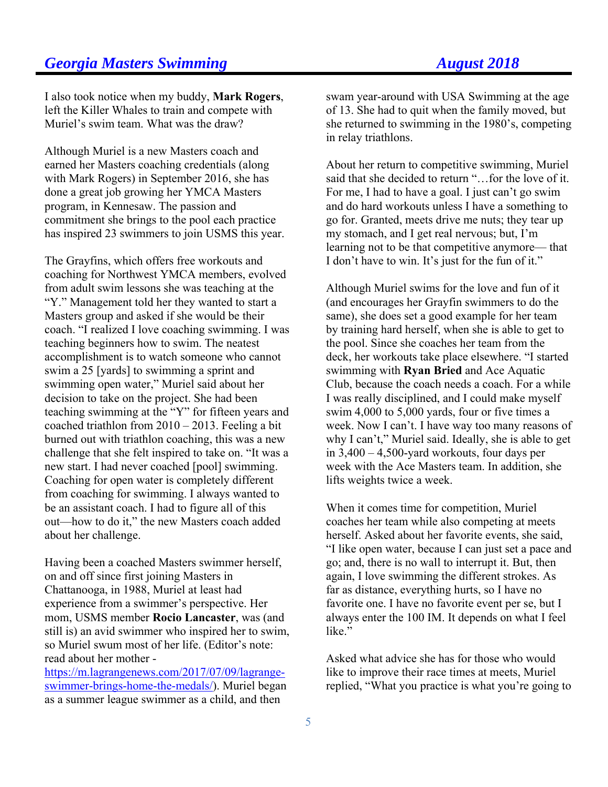I also took notice when my buddy, **Mark Rogers**, left the Killer Whales to train and compete with Muriel's swim team. What was the draw?

Although Muriel is a new Masters coach and earned her Masters coaching credentials (along with Mark Rogers) in September 2016, she has done a great job growing her YMCA Masters program, in Kennesaw. The passion and commitment she brings to the pool each practice has inspired 23 swimmers to join USMS this year.

The Grayfins, which offers free workouts and coaching for Northwest YMCA members, evolved from adult swim lessons she was teaching at the "Y." Management told her they wanted to start a Masters group and asked if she would be their coach. "I realized I love coaching swimming. I was teaching beginners how to swim. The neatest accomplishment is to watch someone who cannot swim a 25 [yards] to swimming a sprint and swimming open water," Muriel said about her decision to take on the project. She had been teaching swimming at the "Y" for fifteen years and coached triathlon from 2010 – 2013. Feeling a bit burned out with triathlon coaching, this was a new challenge that she felt inspired to take on. "It was a new start. I had never coached [pool] swimming. Coaching for open water is completely different from coaching for swimming. I always wanted to be an assistant coach. I had to figure all of this out—how to do it," the new Masters coach added about her challenge.

Having been a coached Masters swimmer herself, on and off since first joining Masters in Chattanooga, in 1988, Muriel at least had experience from a swimmer's perspective. Her mom, USMS member **Rocio Lancaster**, was (and still is) an avid swimmer who inspired her to swim, so Muriel swum most of her life. (Editor's note: read about her mother -

https://m.lagrangenews.com/2017/07/09/lagrangeswimmer-brings-home-the-medals/). Muriel began as a summer league swimmer as a child, and then

swam year-around with USA Swimming at the age of 13. She had to quit when the family moved, but she returned to swimming in the 1980's, competing in relay triathlons.

About her return to competitive swimming, Muriel said that she decided to return "…for the love of it. For me, I had to have a goal. I just can't go swim and do hard workouts unless I have a something to go for. Granted, meets drive me nuts; they tear up my stomach, and I get real nervous; but, I'm learning not to be that competitive anymore— that I don't have to win. It's just for the fun of it."

Although Muriel swims for the love and fun of it (and encourages her Grayfin swimmers to do the same), she does set a good example for her team by training hard herself, when she is able to get to the pool. Since she coaches her team from the deck, her workouts take place elsewhere. "I started swimming with **Ryan Bried** and Ace Aquatic Club, because the coach needs a coach. For a while I was really disciplined, and I could make myself swim 4,000 to 5,000 yards, four or five times a week. Now I can't. I have way too many reasons of why I can't," Muriel said. Ideally, she is able to get in 3,400 – 4,500-yard workouts, four days per week with the Ace Masters team. In addition, she lifts weights twice a week.

When it comes time for competition, Muriel coaches her team while also competing at meets herself. Asked about her favorite events, she said, "I like open water, because I can just set a pace and go; and, there is no wall to interrupt it. But, then again, I love swimming the different strokes. As far as distance, everything hurts, so I have no favorite one. I have no favorite event per se, but I always enter the 100 IM. It depends on what I feel like."

Asked what advice she has for those who would like to improve their race times at meets, Muriel replied, "What you practice is what you're going to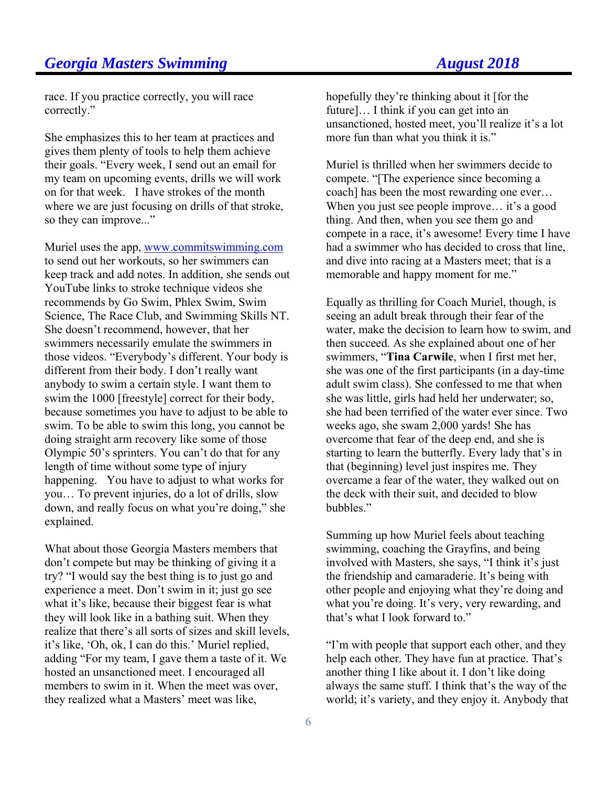# **Georgia Masters Swimming August 2018**

race. If you practice correctly, you will race correctly."

She emphasizes this to her team at practices and gives them plenty of tools to help them achieve their goals. "Every week, I send out an email for my team on upcoming events, drills we will work on for that week. I have strokes of the month where we are just focusing on drills of that stroke, so they can improve..."

Muriel uses the app, www.commitswimming.com to send out her workouts, so her swimmers can keep track and add notes. In addition, she sends out YouTube links to stroke technique videos she recommends by Go Swim, Phlex Swim, Swim Science, The Race Club, and Swimming Skills NT. She doesn't recommend, however, that her swimmers necessarily emulate the swimmers in those videos. "Everybody's different. Your body is different from their body. I don't really want anybody to swim a certain style. I want them to swim the 1000 [freestyle] correct for their body, because sometimes you have to adjust to be able to swim. To be able to swim this long, you cannot be doing straight arm recovery like some of those Olympic 50's sprinters. You can't do that for any length of time without some type of injury happening. You have to adjust to what works for you… To prevent injuries, do a lot of drills, slow down, and really focus on what you're doing," she explained.

What about those Georgia Masters members that don't compete but may be thinking of giving it a try? "I would say the best thing is to just go and experience a meet. Don't swim in it; just go see what it's like, because their biggest fear is what they will look like in a bathing suit. When they realize that there's all sorts of sizes and skill levels, it's like, 'Oh, ok, I can do this.' Muriel replied, adding "For my team, I gave them a taste of it. We hosted an unsanctioned meet. I encouraged all members to swim in it. When the meet was over, they realized what a Masters' meet was like,

hopefully they're thinking about it [for the future]… I think if you can get into an unsanctioned, hosted meet, you'll realize it's a lot more fun than what you think it is."

Muriel is thrilled when her swimmers decide to compete. "[The experience since becoming a coach] has been the most rewarding one ever… When you just see people improve... it's a good thing. And then, when you see them go and compete in a race, it's awesome! Every time I have had a swimmer who has decided to cross that line, and dive into racing at a Masters meet; that is a memorable and happy moment for me."

Equally as thrilling for Coach Muriel, though, is seeing an adult break through their fear of the water, make the decision to learn how to swim, and then succeed. As she explained about one of her swimmers, "**Tina Carwile**, when I first met her, she was one of the first participants (in a day-time adult swim class). She confessed to me that when she was little, girls had held her underwater; so, she had been terrified of the water ever since. Two weeks ago, she swam 2,000 yards! She has overcome that fear of the deep end, and she is starting to learn the butterfly. Every lady that's in that (beginning) level just inspires me. They overcame a fear of the water, they walked out on the deck with their suit, and decided to blow bubbles."

Summing up how Muriel feels about teaching swimming, coaching the Grayfins, and being involved with Masters, she says, "I think it's just the friendship and camaraderie. It's being with other people and enjoying what they're doing and what you're doing. It's very, very rewarding, and that's what I look forward to."

"I'm with people that support each other, and they help each other. They have fun at practice. That's another thing I like about it. I don't like doing always the same stuff. I think that's the way of the world; it's variety, and they enjoy it. Anybody that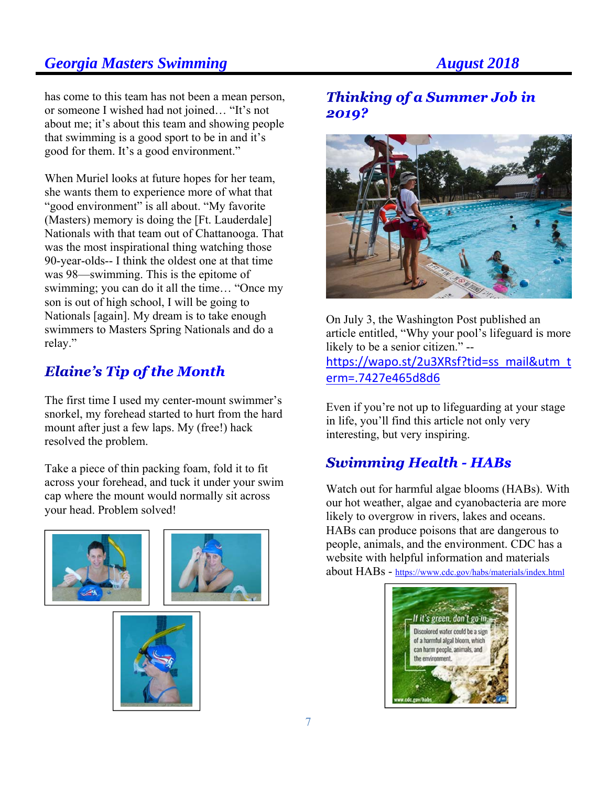has come to this team has not been a mean person, or someone I wished had not joined… "It's not about me; it's about this team and showing people that swimming is a good sport to be in and it's good for them. It's a good environment."

When Muriel looks at future hopes for her team, she wants them to experience more of what that "good environment" is all about. "My favorite" (Masters) memory is doing the [Ft. Lauderdale] Nationals with that team out of Chattanooga. That was the most inspirational thing watching those 90-year-olds-- I think the oldest one at that time was 98—swimming. This is the epitome of swimming; you can do it all the time… "Once my son is out of high school, I will be going to Nationals [again]. My dream is to take enough swimmers to Masters Spring Nationals and do a relay."

# **Elaine's Tip of the Month**

The first time I used my center-mount swimmer's snorkel, my forehead started to hurt from the hard mount after just a few laps. My (free!) hack resolved the problem.

Take a piece of thin packing foam, fold it to fit across your forehead, and tuck it under your swim cap where the mount would normally sit across your head. Problem solved!





# **Thinking of a Summer Job in** 2019?



On July 3, the Washington Post published an article entitled, "Why your pool's lifeguard is more likely to be a senior citizen." --

https://wapo.st/2u3XRsf?tid=ss\_mail&utm\_t erm=.7427e465d8d6

Even if you're not up to lifeguarding at your stage in life, you'll find this article not only very interesting, but very inspiring.

# Swimming Health - HABs

Watch out for harmful algae blooms (HABs). With our hot weather, algae and cyanobacteria are more likely to overgrow in rivers, lakes and oceans. HABs can produce poisons that are dangerous to people, animals, and the environment. CDC has a website with helpful information and materials about HABs - https://www.cdc.gov/habs/materials/index.html

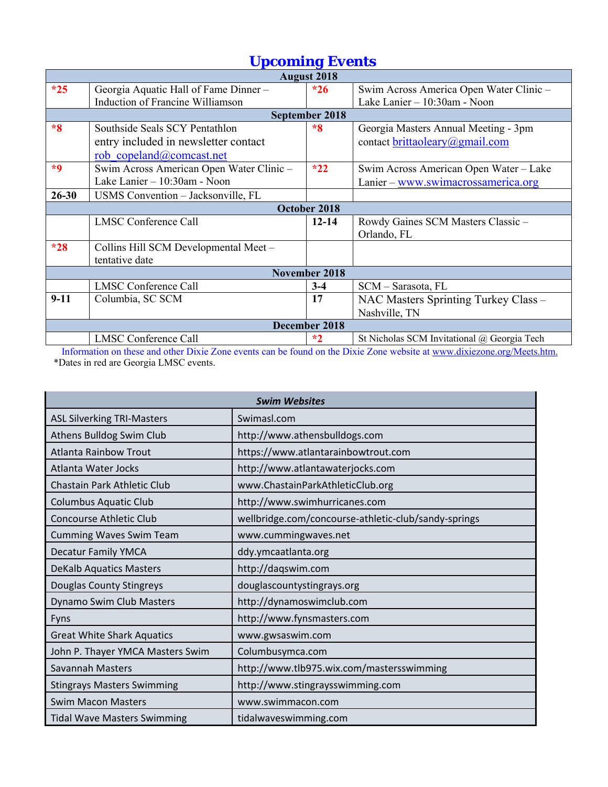| <b>August 2018</b> |                                          |                      |                                             |  |
|--------------------|------------------------------------------|----------------------|---------------------------------------------|--|
| $*25$              | Georgia Aquatic Hall of Fame Dinner -    | $*26$                | Swim Across America Open Water Clinic -     |  |
|                    | Induction of Francine Williamson         |                      | Lake Lanier - 10:30am - Noon                |  |
|                    |                                          | September 2018       |                                             |  |
| $*8$               | Southside Seals SCY Pentathlon           | $*8$                 | Georgia Masters Annual Meeting - 3pm        |  |
|                    | entry included in newsletter contact     |                      | contact brittaoleary@gmail.com              |  |
|                    | rob copeland@comcast.net                 |                      |                                             |  |
| $*9$               | Swim Across American Open Water Clinic - | $*22$                | Swim Across American Open Water - Lake      |  |
|                    | Lake Lanier - 10:30am - Noon             |                      | Lanier – www.swimacrossamerica.org          |  |
| $26 - 30$          | USMS Convention - Jacksonville, FL       |                      |                                             |  |
|                    |                                          | October 2018         |                                             |  |
|                    | <b>LMSC Conference Call</b>              | $12 - 14$            | Rowdy Gaines SCM Masters Classic -          |  |
|                    |                                          |                      | Orlando, FL                                 |  |
| $*28$              | Collins Hill SCM Developmental Meet -    |                      |                                             |  |
|                    | tentative date                           |                      |                                             |  |
|                    |                                          | <b>November 2018</b> |                                             |  |
|                    | <b>LMSC Conference Call</b>              | $3-4$                | SCM - Sarasota, FL                          |  |
| $9-11$             | Columbia, SC SCM                         | 17                   | NAC Masters Sprinting Turkey Class -        |  |
|                    |                                          |                      | Nashville, TN                               |  |
|                    |                                          | December 2018        |                                             |  |
|                    | <b>LMSC Conference Call</b>              | $*2$                 | St Nicholas SCM Invitational @ Georgia Tech |  |

Information on these and other Dixie Zone events can be found on the Dixie Zone website at www.dixiezone.org/Meets.htm. \*Dates in red are Georgia LMSC events.

|                                    | <b>Swim Websites</b>                                 |
|------------------------------------|------------------------------------------------------|
| <b>ASL Silverking TRI-Masters</b>  | Swimasl.com                                          |
| Athens Bulldog Swim Club           | http://www.athensbulldogs.com                        |
| <b>Atlanta Rainbow Trout</b>       | https://www.atlantarainbowtrout.com                  |
| Atlanta Water Jocks                | http://www.atlantawaterjocks.com                     |
| Chastain Park Athletic Club        | www.ChastainParkAthleticClub.org                     |
| <b>Columbus Aquatic Club</b>       | http://www.swimhurricanes.com                        |
| <b>Concourse Athletic Club</b>     | wellbridge.com/concourse-athletic-club/sandy-springs |
| <b>Cumming Waves Swim Team</b>     | www.cummingwaves.net                                 |
| <b>Decatur Family YMCA</b>         | ddy.ymcaatlanta.org                                  |
| <b>DeKalb Aquatics Masters</b>     | http://daqswim.com                                   |
| <b>Douglas County Stingreys</b>    | douglascountystingrays.org                           |
| Dynamo Swim Club Masters           | http://dynamoswimclub.com                            |
| Fyns                               | http://www.fynsmasters.com                           |
| <b>Great White Shark Aquatics</b>  | www.gwsaswim.com                                     |
| John P. Thayer YMCA Masters Swim   | Columbusymca.com                                     |
| <b>Savannah Masters</b>            | http://www.tlb975.wix.com/mastersswimming            |
| <b>Stingrays Masters Swimming</b>  | http://www.stingraysswimming.com                     |
| <b>Swim Macon Masters</b>          | www.swimmacon.com                                    |
| <b>Tidal Wave Masters Swimming</b> | tidalwaveswimming.com                                |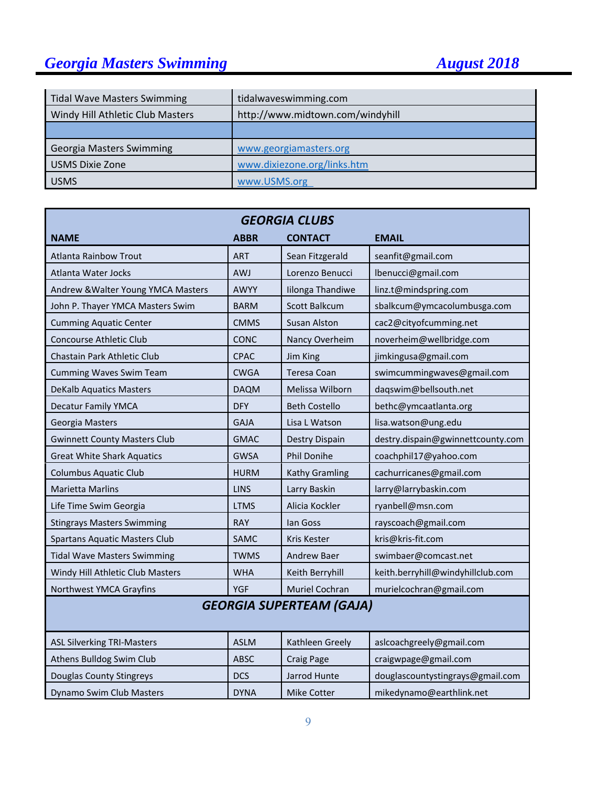# *Georgia Masters Swimming August 2018*

| <b>Tidal Wave Masters Swimming</b> | tidalwaveswimming.com            |
|------------------------------------|----------------------------------|
| Windy Hill Athletic Club Masters   | http://www.midtown.com/windyhill |
|                                    |                                  |
| <b>Georgia Masters Swimming</b>    | www.georgiamasters.org           |
| <b>USMS Dixie Zone</b>             | www.dixiezone.org/links.htm      |
| <b>USMS</b>                        | www.USMS.org                     |

| <b>GEORGIA CLUBS</b>                 |             |                       |                                   |  |  |
|--------------------------------------|-------------|-----------------------|-----------------------------------|--|--|
| <b>NAME</b>                          | <b>ABBR</b> | <b>CONTACT</b>        | <b>EMAIL</b>                      |  |  |
| <b>Atlanta Rainbow Trout</b>         | <b>ART</b>  | Sean Fitzgerald       | seanfit@gmail.com                 |  |  |
| Atlanta Water Jocks                  | <b>AWJ</b>  | Lorenzo Benucci       | lbenucci@gmail.com                |  |  |
| Andrew & Walter Young YMCA Masters   | <b>AWYY</b> | Iilonga Thandiwe      | linz.t@mindspring.com             |  |  |
| John P. Thayer YMCA Masters Swim     | <b>BARM</b> | <b>Scott Balkcum</b>  | sbalkcum@ymcacolumbusga.com       |  |  |
| <b>Cumming Aquatic Center</b>        | <b>CMMS</b> | <b>Susan Alston</b>   | cac2@cityofcumming.net            |  |  |
| <b>Concourse Athletic Club</b>       | CONC        | Nancy Overheim        | noverheim@wellbridge.com          |  |  |
| Chastain Park Athletic Club          | CPAC        | Jim King              | jimkingusa@gmail.com              |  |  |
| <b>Cumming Waves Swim Team</b>       | <b>CWGA</b> | Teresa Coan           | swimcummingwaves@gmail.com        |  |  |
| <b>DeKalb Aquatics Masters</b>       | <b>DAQM</b> | Melissa Wilborn       | daqswim@bellsouth.net             |  |  |
| <b>Decatur Family YMCA</b>           | <b>DFY</b>  | <b>Beth Costello</b>  | bethc@ymcaatlanta.org             |  |  |
| Georgia Masters                      | <b>GAJA</b> | Lisa L Watson         | lisa.watson@ung.edu               |  |  |
| <b>Gwinnett County Masters Club</b>  | <b>GMAC</b> | Destry Dispain        | destry.dispain@gwinnettcounty.com |  |  |
| <b>Great White Shark Aquatics</b>    | <b>GWSA</b> | <b>Phil Donihe</b>    | coachphil17@yahoo.com             |  |  |
| <b>Columbus Aquatic Club</b>         | <b>HURM</b> | Kathy Gramling        | cachurricanes@gmail.com           |  |  |
| <b>Marietta Marlins</b>              | <b>LINS</b> | Larry Baskin          | larry@larrybaskin.com             |  |  |
| Life Time Swim Georgia               | <b>LTMS</b> | Alicia Kockler        | ryanbell@msn.com                  |  |  |
| <b>Stingrays Masters Swimming</b>    | <b>RAY</b>  | lan Goss              | rayscoach@gmail.com               |  |  |
| <b>Spartans Aquatic Masters Club</b> | <b>SAMC</b> | Kris Kester           | kris@kris-fit.com                 |  |  |
| <b>Tidal Wave Masters Swimming</b>   | <b>TWMS</b> | Andrew Baer           | swimbaer@comcast.net              |  |  |
| Windy Hill Athletic Club Masters     | <b>WHA</b>  | Keith Berryhill       | keith.berryhill@windyhillclub.com |  |  |
| Northwest YMCA Grayfins              | <b>YGF</b>  | <b>Muriel Cochran</b> | murielcochran@gmail.com           |  |  |
| <b>GEORGIA SUPERTEAM (GAJA)</b>      |             |                       |                                   |  |  |
| <b>ASL Silverking TRI-Masters</b>    | <b>ASLM</b> | Kathleen Greely       | aslcoachgreely@gmail.com          |  |  |
| Athens Bulldog Swim Club             | <b>ABSC</b> | <b>Craig Page</b>     | craigwpage@gmail.com              |  |  |
| <b>Douglas County Stingreys</b>      | <b>DCS</b>  | Jarrod Hunte          | douglascountystingrays@gmail.com  |  |  |
| Dynamo Swim Club Masters             | <b>DYNA</b> | <b>Mike Cotter</b>    | mikedynamo@earthlink.net          |  |  |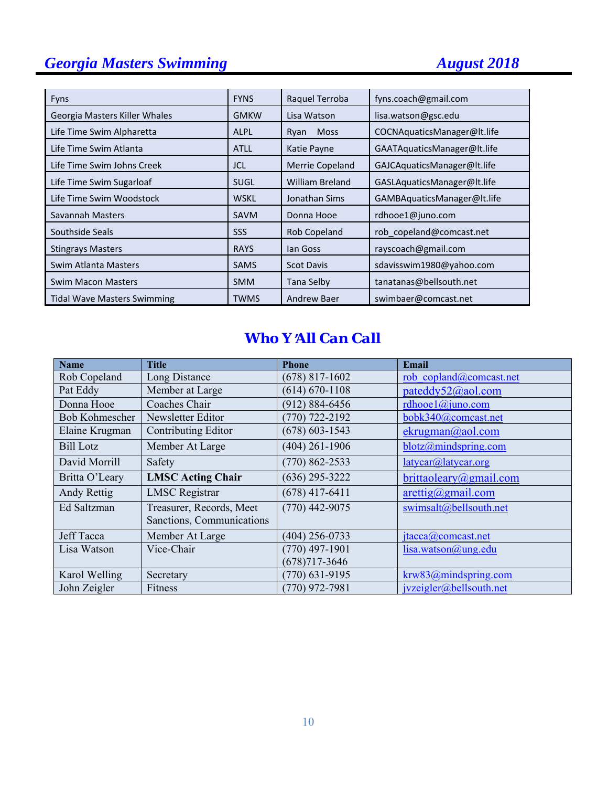# *Georgia Masters Swimming August 2018*

| <b>Fyns</b>                        | <b>FYNS</b> | Raquel Terroba         | fyns.coach@gmail.com        |
|------------------------------------|-------------|------------------------|-----------------------------|
| Georgia Masters Killer Whales      | <b>GMKW</b> | Lisa Watson            | lisa.watson@gsc.edu         |
| Life Time Swim Alpharetta          | <b>ALPL</b> | <b>Moss</b><br>Ryan    | COCNAquaticsManager@lt.life |
| Life Time Swim Atlanta             | <b>ATLL</b> | Katie Payne            | GAATAquaticsManager@lt.life |
| Life Time Swim Johns Creek         | <b>JCL</b>  | <b>Merrie Copeland</b> | GAJCAquaticsManager@lt.life |
| Life Time Swim Sugarloaf           | <b>SUGL</b> | <b>William Breland</b> | GASLAquaticsManager@lt.life |
| Life Time Swim Woodstock           | <b>WSKL</b> | Jonathan Sims          | GAMBAquaticsManager@lt.life |
| Savannah Masters                   | <b>SAVM</b> | Donna Hooe             | rdhooe1@juno.com            |
| Southside Seals                    | SSS         | Rob Copeland           | rob copeland@comcast.net    |
| <b>Stingrays Masters</b>           | <b>RAYS</b> | lan Goss               | rayscoach@gmail.com         |
| Swim Atlanta Masters               | <b>SAMS</b> | <b>Scot Davis</b>      | sdavisswim1980@yahoo.com    |
| <b>Swim Macon Masters</b>          | <b>SMM</b>  | Tana Selby             | tanatanas@bellsouth.net     |
| <b>Tidal Wave Masters Swimming</b> | TWMS        | <b>Andrew Baer</b>     | swimbaer@comcast.net        |

# *Who Y*=*All Can Call*

| <b>Name</b>           | <b>Title</b>              | <b>Phone</b>       | <b>Email</b>                       |
|-----------------------|---------------------------|--------------------|------------------------------------|
| Rob Copeland          | Long Distance             | $(678)$ 817-1602   | rob copland@comcast.net            |
| Pat Eddy              | Member at Large           | $(614) 670 - 1108$ | pateddy52@aol.com                  |
| Donna Hooe            | Coaches Chair             | $(912) 884 - 6456$ | rdhooe $1$ @juno.com               |
| <b>Bob Kohmescher</b> | Newsletter Editor         | $(770)$ 722-2192   | bobk340@comcast.net                |
| Elaine Krugman        | Contributing Editor       | $(678)$ 603-1543   | ekrugman@aol.com                   |
| <b>Bill Lotz</b>      | Member At Large           | $(404)$ 261-1906   | blotz@mindspring.com               |
| David Morrill         | Safety                    | $(770) 862 - 2533$ | latycar@latycar.org                |
| Britta O'Leary        | <b>LMSC Acting Chair</b>  | $(636)$ 295-3222   | brittaoleary@gmail.com             |
| Andy Rettig           | <b>LMSC</b> Registrar     | $(678)$ 417-6411   | $\arcti\frac{g}{\omega}$ gmail.com |
| Ed Saltzman           | Treasurer, Records, Meet  | $(770)$ 442-9075   | swimsalt@bellsouth.net             |
|                       | Sanctions, Communications |                    |                                    |
| <b>Jeff Tacca</b>     | Member At Large           | $(404)$ 256-0733   | jtacca@comcast.net                 |
| Lisa Watson           | Vice-Chair                | $(770)$ 497-1901   | lisa.watson@ung.edu                |
|                       |                           | $(678)717 - 3646$  |                                    |
| Karol Welling         | Secretary                 | $(770)$ 631-9195   | krw83@mindspring.com               |
| John Zeigler          | Fitness                   | $(770)$ 972-7981   | jvzeigler@bellsouth.net            |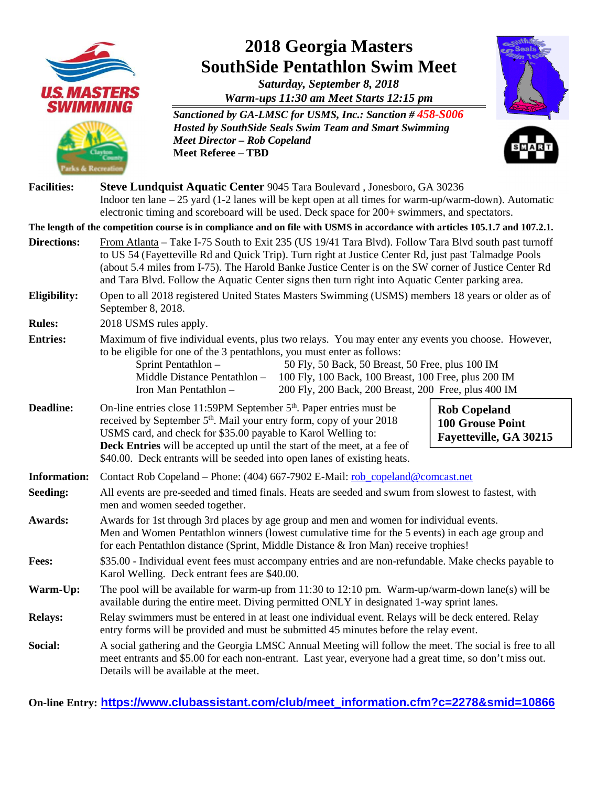

**On-line Entry: https://www.clubassistant.com/club/meet\_information.cfm?c=2278&smid=10866**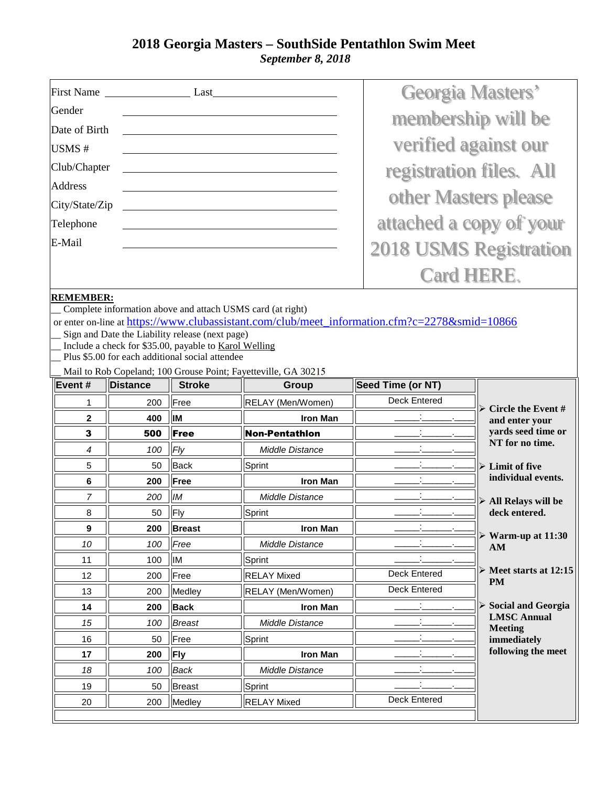## **2018 Georgia Masters – SouthSide Pentathlon Swim Meet**   *September 8, 2018*

|                  |                 |                                                       |                                                                                           |                         | <b>Georgia Masters'</b>                 |
|------------------|-----------------|-------------------------------------------------------|-------------------------------------------------------------------------------------------|-------------------------|-----------------------------------------|
| Gender           |                 |                                                       |                                                                                           |                         | membership will be                      |
| Date of Birth    |                 |                                                       |                                                                                           |                         |                                         |
| USMS#            |                 |                                                       |                                                                                           |                         | verified against our                    |
| Club/Chapter     |                 |                                                       |                                                                                           |                         |                                         |
| <b>Address</b>   |                 |                                                       |                                                                                           | registration files. All |                                         |
| City/State/Zip   |                 |                                                       |                                                                                           |                         | other Masters please                    |
| Telephone        |                 |                                                       |                                                                                           |                         | attached a copy of your                 |
| E-Mail           |                 |                                                       |                                                                                           |                         |                                         |
|                  |                 |                                                       |                                                                                           |                         | <b>2018 USMS Registration</b>           |
|                  |                 |                                                       |                                                                                           |                         | <b>Card HERE.</b>                       |
| <b>REMEMBER:</b> |                 |                                                       |                                                                                           |                         |                                         |
|                  |                 |                                                       | Complete information above and attach USMS card (at right)                                |                         |                                         |
|                  |                 | Sign and Date the Liability release (next page)       | or enter on-line at https://www.clubassistant.com/club/meet information.cfm?c=2278∣=10866 |                         |                                         |
|                  |                 | Include a check for \$35.00, payable to Karol Welling |                                                                                           |                         |                                         |
|                  |                 | Plus \$5.00 for each additional social attendee       |                                                                                           |                         |                                         |
|                  |                 |                                                       | Mail to Rob Copeland; 100 Grouse Point; Fayetteville, GA 30215                            |                         |                                         |
| Event#           | <b>Distance</b> | <b>Stroke</b>                                         | Group                                                                                     | Seed Time (or NT)       |                                         |
| 1                | 200             | Free                                                  | RELAY (Men/Women)                                                                         | <b>Deck Entered</b>     | $\triangleright$ Circle the Event #     |
| $\mathbf{2}$     | 400             | IM                                                    | <b>Iron Man</b>                                                                           |                         | and enter your                          |
| 3                | 500             | Free                                                  | Non-Pentathion                                                                            |                         |                                         |
| 4                | 100             |                                                       |                                                                                           |                         | yards seed time or<br>NT for no time.   |
|                  |                 | Fly                                                   | <b>Middle Distance</b>                                                                    |                         |                                         |
| 5                | 50              | <b>Back</b>                                           | Sprint                                                                                    |                         | $\triangleright$ Limit of five          |
| 6                | 200             | Free                                                  | <b>Iron Man</b>                                                                           |                         | individual events.                      |
| 7                | 200             | <b>IM</b>                                             | <b>Middle Distance</b>                                                                    |                         | $\triangleright$ All Relays will be     |
| 8                | 50              | Fly                                                   | Sprint                                                                                    |                         | deck entered.                           |
| 9                | 200             | <b>Breast</b>                                         | <b>Iron Man</b>                                                                           |                         |                                         |
| 10               | 100             | Free                                                  | Middle Distance                                                                           |                         | $\triangleright$ Warm-up at 11:30<br>AM |
| 11               | 100             | IM                                                    | Sprint                                                                                    |                         |                                         |
| 12               | 200             | Free                                                  | <b>RELAY Mixed</b>                                                                        | Deck Entered            | $\triangleright$ Meet starts at 12:15   |
| 13               | 200             | Medley                                                | RELAY (Men/Women)                                                                         | Deck Entered            | <b>PM</b>                               |
| 14               | 200             | <b>Back</b>                                           | <b>Iron Man</b>                                                                           |                         | $\triangleright$ Social and Georgia     |
| 15               | 100             | <b>Breast</b>                                         | Middle Distance                                                                           |                         | <b>LMSC Annual</b>                      |
| 16               | 50              | Free                                                  | Sprint                                                                                    | $\blacksquare$          | <b>Meeting</b><br>immediately           |
| 17               | 200             | <b>Fly</b>                                            | <b>Iron Man</b>                                                                           |                         | following the meet                      |
| 18               | 100             | <b>Back</b>                                           | Middle Distance                                                                           | $\blacksquare$          |                                         |
| 19               | 50              | <b>Breast</b>                                         | Sprint                                                                                    |                         |                                         |
| 20               | 200             | Medley                                                | <b>RELAY Mixed</b>                                                                        | Deck Entered            |                                         |